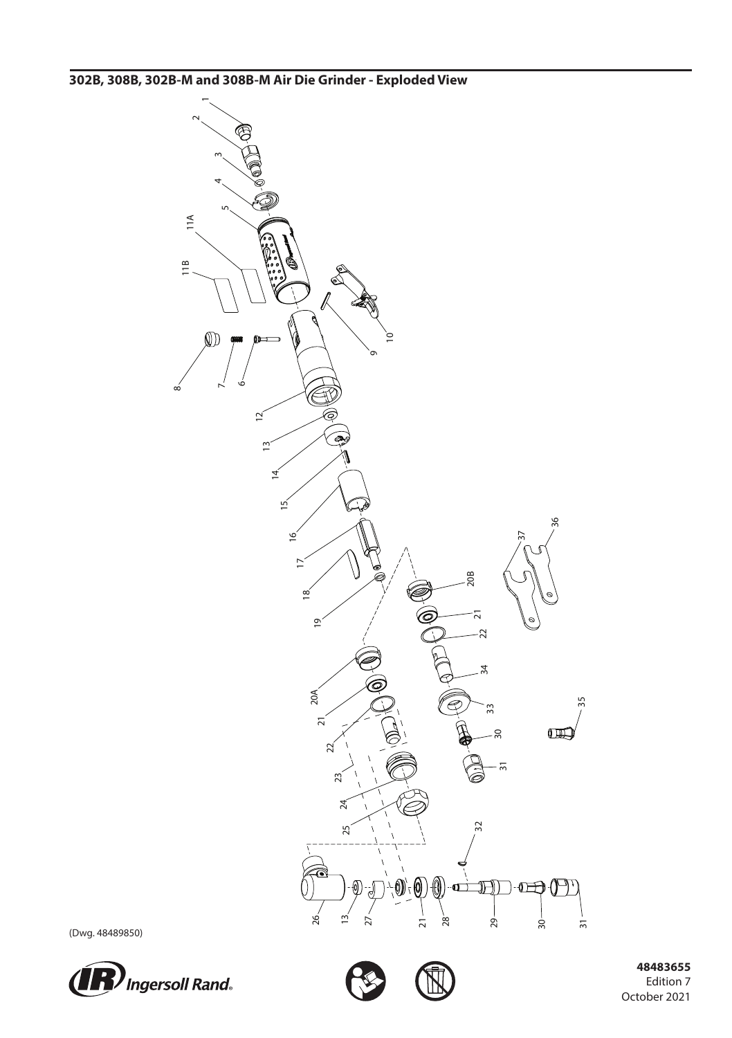**302B, 308B, 302B-M and 308B-M Air Die Grinder - Exploded View**



(Dwg. 48489850)





 **48483655** Edition 7 October 2021